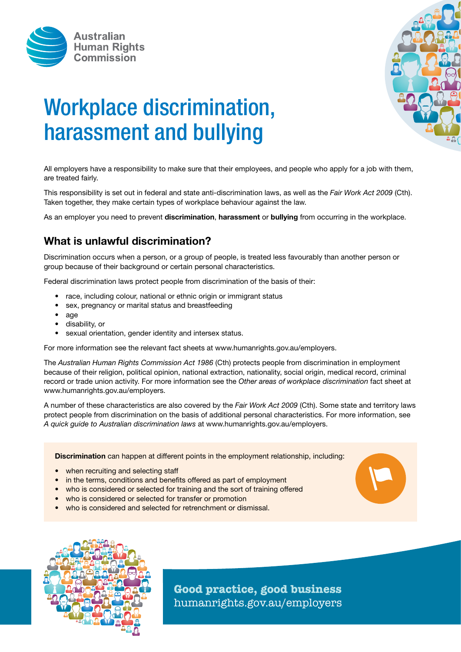



# Workplace discrimination, harassment and bullying

All employers have a responsibility to make sure that their employees, and people who apply for a job with them, are treated fairly.

This responsibility is set out in federal and state anti-discrimination laws, as well as the *Fair Work Act 2009* (Cth). Taken together, they make certain types of workplace behaviour against the law.

As an employer you need to prevent **discrimination, harassment** or **bullying** from occurring in the workplace.

## What is unlawful discrimination?

Discrimination occurs when a person, or a group of people, is treated less favourably than another person or group because of their background or certain personal characteristics.

Federal discrimination laws protect people from discrimination of the basis of their:

- race, including colour, national or ethnic origin or immigrant status
- sex, pregnancy or marital status and breastfeeding
- age
- disability, or
- sexual orientation, gender identity and intersex status.

For more information see the relevant fact sheets at www.humanrights.gov.au/employers.

The *Australian Human Rights Commission Act 1986* (Cth) protects people from discrimination in employment because of their religion, political opinion, national extraction, nationality, social origin, medical record, criminal record or trade union activity. For more information see the *Other areas of workplace discrimination* fact sheet at www.humanrights.gov.au/employers.

A number of these characteristics are also covered by the *Fair Work Act 2009* (Cth). Some state and territory laws protect people from discrimination on the basis of additional personal characteristics. For more information, see *A quick guide to Australian discrimination laws* at www.humanrights.gov.au/employers.

Discrimination can happen at different points in the employment relationship, including:

- when recruiting and selecting staff
- in the terms, conditions and benefits offered as part of employment
- who is considered or selected for training and the sort of training offered
- who is considered or selected for transfer or promotion
- who is considered and selected for retrenchment or dismissal.



**Good practice, good business** humanrights.gov.au/employers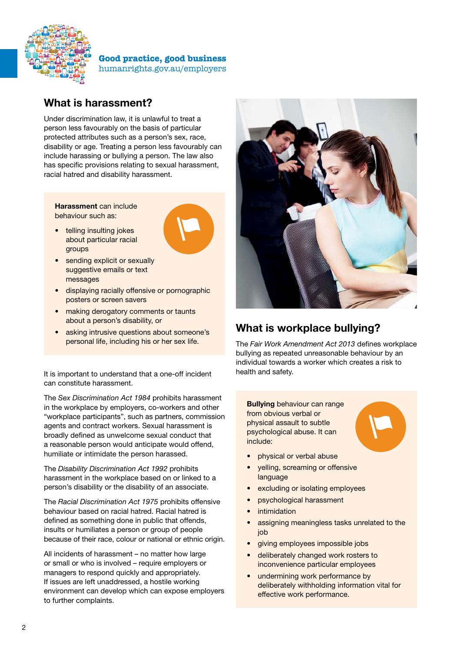

**Good practice, good business** humanrights.gov.au/employers

### What is harassment?

Under discrimination law, it is unlawful to treat a person less favourably on the basis of particular protected attributes such as a person's sex, race, disability or age. Treating a person less favourably can include harassing or bullying a person. The law also has specific provisions relating to sexual harassment, racial hatred and disability harassment.

Harassment can include behaviour such as:

telling insulting jokes about particular racial groups



- sending explicit or sexually suggestive emails or text messages
- displaying racially offensive or pornographic posters or screen savers
- making derogatory comments or taunts about a person's disability, or
- asking intrusive questions about someone's personal life, including his or her sex life.

It is important to understand that a one-off incident can constitute harassment.

The *Sex Discrimination Act 1984* prohibits harassment in the workplace by employers, co-workers and other "workplace participants", such as partners, commission agents and contract workers. Sexual harassment is broadly defined as unwelcome sexual conduct that a reasonable person would anticipate would offend, humiliate or intimidate the person harassed.

The *Disability Discrimination Act 1992* prohibits harassment in the workplace based on or linked to a person's disability or the disability of an associate.

The *Racial Discrimination Act 1975* prohibits offensive behaviour based on racial hatred. Racial hatred is defined as something done in public that offends, insults or humiliates a person or group of people because of their race, colour or national or ethnic origin.

All incidents of harassment – no matter how large or small or who is involved – require employers or managers to respond quickly and appropriately. If issues are left unaddressed, a hostile working environment can develop which can expose employers to further complaints.



#### What is workplace bullying?

The *Fair Work Amendment Act 2013* defines workplace bullying as repeated unreasonable behaviour by an individual towards a worker which creates a risk to health and safety.

Bullying behaviour can range from obvious verbal or physical assault to subtle psychological abuse. It can include:



- physical or verbal abuse
- yelling, screaming or offensive language
- excluding or isolating employees
- psychological harassment
- **intimidation**
- assigning meaningless tasks unrelated to the job
- giving employees impossible jobs
- deliberately changed work rosters to inconvenience particular employees
- undermining work performance by deliberately withholding information vital for effective work performance.